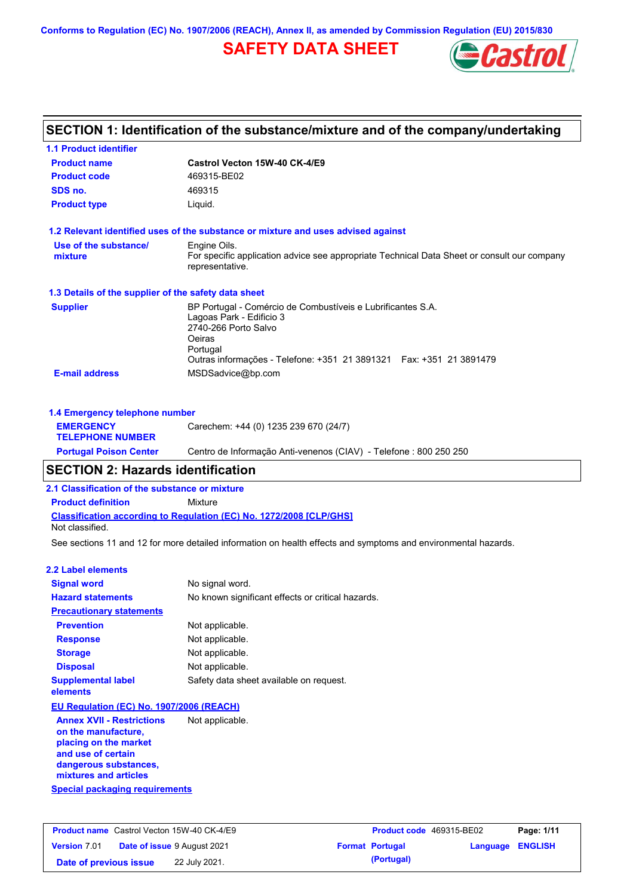**Conforms to Regulation (EC) No. 1907/2006 (REACH), Annex II, as amended by Commission Regulation (EU) 2015/830**

## **SAFETY DATA SHEET**



|                                                      | SECTION 1: Identification of the substance/mixture and of the company/undertaking                              |
|------------------------------------------------------|----------------------------------------------------------------------------------------------------------------|
| <b>1.1 Product identifier</b>                        |                                                                                                                |
| <b>Product name</b>                                  | Castrol Vecton 15W-40 CK-4/E9                                                                                  |
| <b>Product code</b>                                  | 469315-BE02                                                                                                    |
| SDS no.                                              | 469315                                                                                                         |
| <b>Product type</b>                                  | Liquid.                                                                                                        |
|                                                      | 1.2 Relevant identified uses of the substance or mixture and uses advised against                              |
| Use of the substance/                                | Engine Oils.                                                                                                   |
| mixture                                              | For specific application advice see appropriate Technical Data Sheet or consult our company<br>representative. |
| 1.3 Details of the supplier of the safety data sheet |                                                                                                                |
| <b>Supplier</b>                                      | BP Portugal - Comércio de Combustíveis e Lubrificantes S.A.                                                    |
|                                                      | Lagoas Park - Edificio 3<br>2740-266 Porto Salvo                                                               |
|                                                      | Oeiras                                                                                                         |
|                                                      | Portugal                                                                                                       |
|                                                      | Outras informações - Telefone: +351 21 3891321  Fax: +351 21 3891479                                           |
| <b>E-mail address</b>                                | MSDSadvice@bp.com                                                                                              |
| 1.4 Emergency telephone number                       |                                                                                                                |
| <b>EMERGENCY</b><br><b>TELEPHONE NUMBER</b>          | Carechem: +44 (0) 1235 239 670 (24/7)                                                                          |

## **SECTION 2: Hazards identification**

**2.1 Classification of the substance or mixture**

**Classification according to Regulation (EC) No. 1272/2008 [CLP/GHS] Product definition** Mixture Not classified.

See sections 11 and 12 for more detailed information on health effects and symptoms and environmental hazards.

**Portugal Poison Center** Centro de Informação Anti-venenos (CIAV) - Telefone : 800 250 250

#### **2.2 Label elements**

| <b>Signal word</b>                       | No signal word.                                   |
|------------------------------------------|---------------------------------------------------|
| <b>Hazard statements</b>                 | No known significant effects or critical hazards. |
| <b>Precautionary statements</b>          |                                                   |
| <b>Prevention</b>                        | Not applicable.                                   |
| <b>Response</b>                          | Not applicable.                                   |
| <b>Storage</b>                           | Not applicable.                                   |
| <b>Disposal</b>                          | Not applicable.                                   |
| <b>Supplemental label</b><br>elements    | Safety data sheet available on request.           |
| EU Regulation (EC) No. 1907/2006 (REACH) |                                                   |
|                                          |                                                   |

**Special packaging requirements Annex XVII - Restrictions on the manufacture, placing on the market and use of certain dangerous substances, mixtures and articles** Not applicable.

|                        | <b>Product name</b> Castrol Vecton 15W-40 CK-4/E9 | Product code 469315-BE02 |                         | Page: 1/11 |
|------------------------|---------------------------------------------------|--------------------------|-------------------------|------------|
| <b>Version 7.01</b>    | <b>Date of issue 9 August 2021</b>                | <b>Format Portugal</b>   | <b>Language ENGLISH</b> |            |
| Date of previous issue | 22 July 2021.                                     | (Portugal)               |                         |            |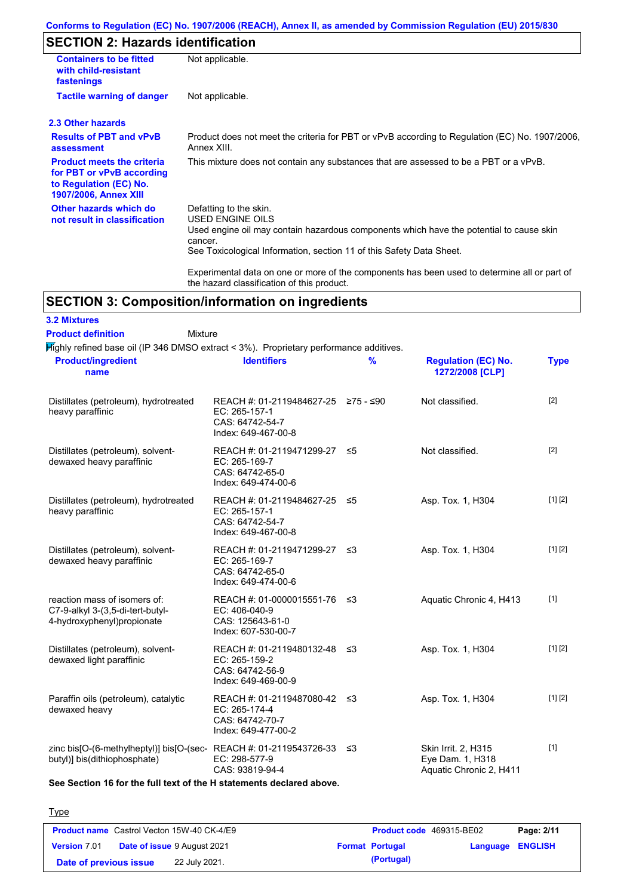### **Conforms to Regulation (EC) No. 1907/2006 (REACH), Annex II, as amended by Commission Regulation (EU) 2015/830**

# **SECTION 2: Hazards identification**

| <b>Containers to be fitted</b><br>with child-resistant<br>fastenings                                              | Not applicable.                                                                                                                                                                                                                 |
|-------------------------------------------------------------------------------------------------------------------|---------------------------------------------------------------------------------------------------------------------------------------------------------------------------------------------------------------------------------|
| <b>Tactile warning of danger</b>                                                                                  | Not applicable.                                                                                                                                                                                                                 |
| 2.3 Other hazards                                                                                                 |                                                                                                                                                                                                                                 |
| <b>Results of PBT and vPvB</b><br>assessment                                                                      | Product does not meet the criteria for PBT or vPvB according to Regulation (EC) No. 1907/2006,<br>Annex XIII.                                                                                                                   |
| <b>Product meets the criteria</b><br>for PBT or vPvB according<br>to Regulation (EC) No.<br>1907/2006, Annex XIII | This mixture does not contain any substances that are assessed to be a PBT or a vPvB.                                                                                                                                           |
| Other hazards which do<br>not result in classification                                                            | Defatting to the skin.<br><b>USED ENGINE OILS</b><br>Used engine oil may contain hazardous components which have the potential to cause skin<br>cancer.<br>See Toxicological Information, section 11 of this Safety Data Sheet. |
|                                                                                                                   | Experimental data on one or more of the components has been used to determine all or part of<br>the hazard classification of this product.                                                                                      |

# **SECTION 3: Composition/information on ingredients**

| <b>3.2 Mixtures</b>                                                                               |                                                                                                |      |                                                                    |             |
|---------------------------------------------------------------------------------------------------|------------------------------------------------------------------------------------------------|------|--------------------------------------------------------------------|-------------|
| <b>Product definition</b><br>Mixture                                                              |                                                                                                |      |                                                                    |             |
| Mighly refined base oil (IP 346 DMSO extract < 3%). Proprietary performance additives.            |                                                                                                |      |                                                                    |             |
| <b>Product/ingredient</b><br>name                                                                 | <b>Identifiers</b>                                                                             | $\%$ | <b>Regulation (EC) No.</b><br>1272/2008 [CLP]                      | <b>Type</b> |
| Distillates (petroleum), hydrotreated<br>heavy paraffinic                                         | REACH #: 01-2119484627-25 ≥75 - ≤90<br>EC: 265-157-1<br>CAS: 64742-54-7<br>Index: 649-467-00-8 |      | Not classified.                                                    | $[2]$       |
| Distillates (petroleum), solvent-<br>dewaxed heavy paraffinic                                     | REACH #: 01-2119471299-27 ≤5<br>EC: 265-169-7<br>CAS: 64742-65-0<br>Index: 649-474-00-6        |      | Not classified.                                                    | $[2]$       |
| Distillates (petroleum), hydrotreated<br>heavy paraffinic                                         | REACH #: 01-2119484627-25 ≤5<br>EC: 265-157-1<br>CAS: 64742-54-7<br>Index: 649-467-00-8        |      | Asp. Tox. 1, H304                                                  | [1] [2]     |
| Distillates (petroleum), solvent-<br>dewaxed heavy paraffinic                                     | REACH #: 01-2119471299-27 ≤3<br>EC: 265-169-7<br>CAS: 64742-65-0<br>Index: 649-474-00-6        |      | Asp. Tox. 1, H304                                                  | [1] [2]     |
| reaction mass of isomers of:<br>C7-9-alkyl 3-(3,5-di-tert-butyl-<br>4-hydroxyphenyl) propionate   | REACH #: 01-0000015551-76 ≤3<br>EC: 406-040-9<br>CAS: 125643-61-0<br>Index: 607-530-00-7       |      | Aquatic Chronic 4, H413                                            | $[1]$       |
| Distillates (petroleum), solvent-<br>dewaxed light paraffinic                                     | REACH #: 01-2119480132-48 ≤3<br>EC: 265-159-2<br>CAS: 64742-56-9<br>Index: 649-469-00-9        |      | Asp. Tox. 1, H304                                                  | [1] [2]     |
| Paraffin oils (petroleum), catalytic<br>dewaxed heavy                                             | REACH #: 01-2119487080-42 ≤3<br>EC: 265-174-4<br>CAS: 64742-70-7<br>Index: 649-477-00-2        |      | Asp. Tox. 1, H304                                                  | [1] [2]     |
| zinc bis[O-(6-methylheptyl)] bis[O-(sec-REACH #: 01-2119543726-33<br>butyl)] bis(dithiophosphate) | EC: 298-577-9<br>CAS: 93819-94-4                                                               | -≤3  | Skin Irrit. 2, H315<br>Eye Dam. 1, H318<br>Aquatic Chronic 2, H411 | $[1]$       |

**See Section 16 for the full text of the H statements declared above.**

| <b>Product name</b> Castrol Vecton 15W-40 CK-4/E9 |                                    | Product code 469315-BE02 |                         | Page: 2/11 |
|---------------------------------------------------|------------------------------------|--------------------------|-------------------------|------------|
| <b>Version 7.01</b>                               | <b>Date of issue 9 August 2021</b> | <b>Format Portugal</b>   | <b>Language ENGLISH</b> |            |
| Date of previous issue                            | 22 July 2021.                      | (Portugal)               |                         |            |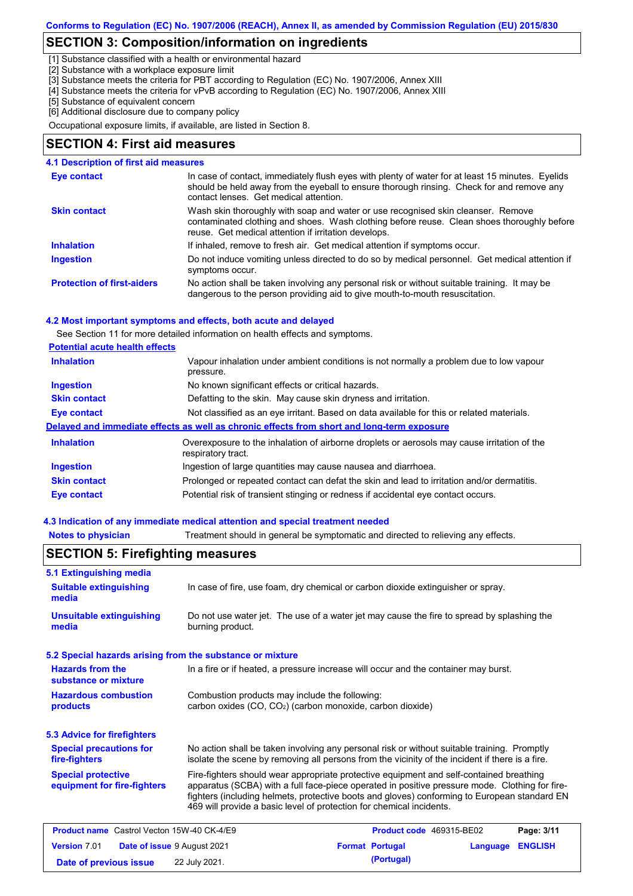## **SECTION 3: Composition/information on ingredients**

[1] Substance classified with a health or environmental hazard

[2] Substance with a workplace exposure limit

[3] Substance meets the criteria for PBT according to Regulation (EC) No. 1907/2006, Annex XIII

- [4] Substance meets the criteria for vPvB according to Regulation (EC) No. 1907/2006, Annex XIII
- [5] Substance of equivalent concern

[6] Additional disclosure due to company policy

Occupational exposure limits, if available, are listed in Section 8.

### **SECTION 4: First aid measures**

#### **4.1 Description of first aid measures**

| <b>Eye contact</b>                | In case of contact, immediately flush eyes with plenty of water for at least 15 minutes. Eyelids<br>should be held away from the eyeball to ensure thorough rinsing. Check for and remove any<br>contact lenses. Get medical attention. |
|-----------------------------------|-----------------------------------------------------------------------------------------------------------------------------------------------------------------------------------------------------------------------------------------|
| <b>Skin contact</b>               | Wash skin thoroughly with soap and water or use recognised skin cleanser. Remove<br>contaminated clothing and shoes. Wash clothing before reuse. Clean shoes thoroughly before<br>reuse. Get medical attention if irritation develops.  |
| <b>Inhalation</b>                 | If inhaled, remove to fresh air. Get medical attention if symptoms occur.                                                                                                                                                               |
| <b>Ingestion</b>                  | Do not induce vomiting unless directed to do so by medical personnel. Get medical attention if<br>symptoms occur.                                                                                                                       |
| <b>Protection of first-aiders</b> | No action shall be taken involving any personal risk or without suitable training. It may be<br>dangerous to the person providing aid to give mouth-to-mouth resuscitation.                                                             |

#### **4.2 Most important symptoms and effects, both acute and delayed**

See Section 11 for more detailed information on health effects and symptoms.

#### **Potential acute health effects**

| <b>Inhalation</b>   | Vapour inhalation under ambient conditions is not normally a problem due to low vapour<br>pressure.               |
|---------------------|-------------------------------------------------------------------------------------------------------------------|
| <b>Ingestion</b>    | No known significant effects or critical hazards.                                                                 |
| <b>Skin contact</b> | Defatting to the skin. May cause skin dryness and irritation.                                                     |
| Eye contact         | Not classified as an eye irritant. Based on data available for this or related materials.                         |
|                     | Delayed and immediate effects as well as chronic effects from short and long-term exposure                        |
| <b>Inhalation</b>   | Overexposure to the inhalation of airborne droplets or aerosols may cause irritation of the<br>respiratory tract. |
| <b>Ingestion</b>    | Ingestion of large quantities may cause nausea and diarrhoea.                                                     |
| <b>Skin contact</b> | Prolonged or repeated contact can defat the skin and lead to irritation and/or dermatitis.                        |
| Eye contact         | Potential risk of transient stinging or redness if accidental eye contact occurs.                                 |

#### **4.3 Indication of any immediate medical attention and special treatment needed**

**Notes to physician** Treatment should in general be symptomatic and directed to relieving any effects.

#### No action shall be taken involving any personal risk or without suitable training. Promptly isolate the scene by removing all persons from the vicinity of the incident if there is a fire. **Hazardous combustion products Hazards from the substance or mixture** Combustion products may include the following: carbon oxides (CO, CO2) (carbon monoxide, carbon dioxide) In a fire or if heated, a pressure increase will occur and the container may burst. Fire-fighters should wear appropriate protective equipment and self-contained breathing apparatus (SCBA) with a full face-piece operated in positive pressure mode. Clothing for firefighters (including helmets, protective boots and gloves) conforming to European standard EN 469 will provide a basic level of protection for chemical incidents. **Special protective equipment for fire-fighters** In case of fire, use foam, dry chemical or carbon dioxide extinguisher or spray. **5.1 Extinguishing media** Do not use water jet. The use of a water jet may cause the fire to spread by splashing the burning product. **Suitable extinguishing media Unsuitable extinguishing media SECTION 5: Firefighting measures 5.2 Special hazards arising from the substance or mixture 5.3 Advice for firefighters Special precautions for fire-fighters Product name** Castrol Vecton 15W-40 CK-4/E9 **Product Code 469315-BE02 Page: 3/11 Version** 7.01 **Date of issue** 9 August 2021 **Format Portugal Language ENGLISH Date of previous issue (Portugal)** 22 July 2021.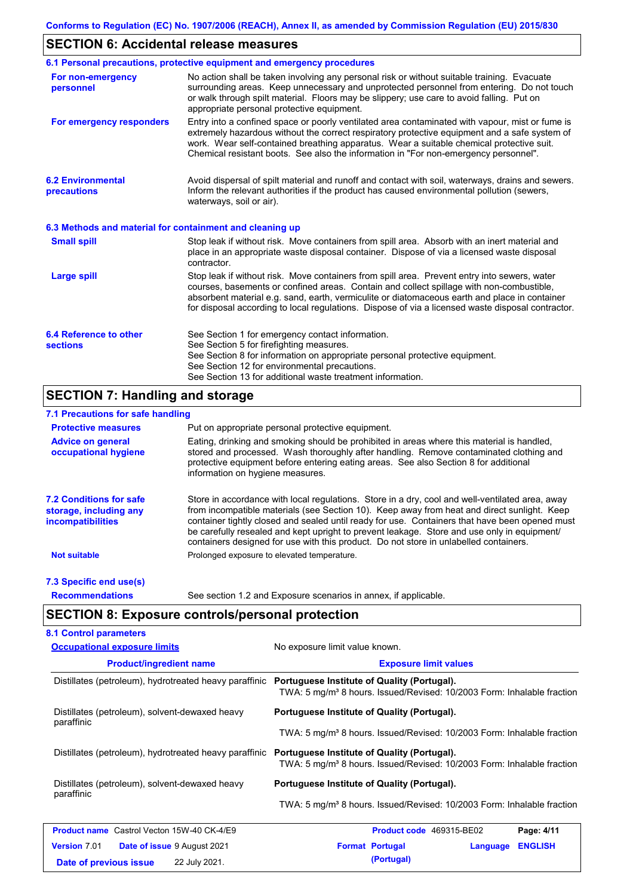## **SECTION 6: Accidental release measures**

|                                                          | 6.1 Personal precautions, protective equipment and emergency procedures                                                                                                                                                                                                                                                                                                                        |
|----------------------------------------------------------|------------------------------------------------------------------------------------------------------------------------------------------------------------------------------------------------------------------------------------------------------------------------------------------------------------------------------------------------------------------------------------------------|
| For non-emergency<br>personnel                           | No action shall be taken involving any personal risk or without suitable training. Evacuate<br>surrounding areas. Keep unnecessary and unprotected personnel from entering. Do not touch<br>or walk through spilt material. Floors may be slippery; use care to avoid falling. Put on<br>appropriate personal protective equipment.                                                            |
| For emergency responders                                 | Entry into a confined space or poorly ventilated area contaminated with vapour, mist or fume is<br>extremely hazardous without the correct respiratory protective equipment and a safe system of<br>work. Wear self-contained breathing apparatus. Wear a suitable chemical protective suit.<br>Chemical resistant boots. See also the information in "For non-emergency personnel".           |
| <b>6.2 Environmental</b><br>precautions                  | Avoid dispersal of spilt material and runoff and contact with soil, waterways, drains and sewers.<br>Inform the relevant authorities if the product has caused environmental pollution (sewers,<br>waterways, soil or air).                                                                                                                                                                    |
| 6.3 Methods and material for containment and cleaning up |                                                                                                                                                                                                                                                                                                                                                                                                |
| <b>Small spill</b>                                       | Stop leak if without risk. Move containers from spill area. Absorb with an inert material and<br>place in an appropriate waste disposal container. Dispose of via a licensed waste disposal<br>contractor.                                                                                                                                                                                     |
| <b>Large spill</b>                                       | Stop leak if without risk. Move containers from spill area. Prevent entry into sewers, water<br>courses, basements or confined areas. Contain and collect spillage with non-combustible,<br>absorbent material e.g. sand, earth, vermiculite or diatomaceous earth and place in container<br>for disposal according to local regulations. Dispose of via a licensed waste disposal contractor. |
| 6.4 Reference to other<br><b>sections</b>                | See Section 1 for emergency contact information.<br>See Section 5 for firefighting measures.<br>See Section 8 for information on appropriate personal protective equipment.<br>See Section 12 for environmental precautions.<br>See Section 13 for additional waste treatment information.                                                                                                     |

## **SECTION 7: Handling and storage**

### **7.1 Precautions for safe handling**

| <b>Protective measures</b>                                                           | Put on appropriate personal protective equipment.                                                                                                                                                                                                                                                                                                                                                                                                                                        |
|--------------------------------------------------------------------------------------|------------------------------------------------------------------------------------------------------------------------------------------------------------------------------------------------------------------------------------------------------------------------------------------------------------------------------------------------------------------------------------------------------------------------------------------------------------------------------------------|
| <b>Advice on general</b><br>occupational hygiene                                     | Eating, drinking and smoking should be prohibited in areas where this material is handled,<br>stored and processed. Wash thoroughly after handling. Remove contaminated clothing and<br>protective equipment before entering eating areas. See also Section 8 for additional<br>information on hygiene measures.                                                                                                                                                                         |
| <b>7.2 Conditions for safe</b><br>storage, including any<br><i>incompatibilities</i> | Store in accordance with local requiations. Store in a dry, cool and well-ventilated area, away<br>from incompatible materials (see Section 10). Keep away from heat and direct sunlight. Keep<br>container tightly closed and sealed until ready for use. Containers that have been opened must<br>be carefully resealed and kept upright to prevent leakage. Store and use only in equipment/<br>containers designed for use with this product. Do not store in unlabelled containers. |
| <b>Not suitable</b>                                                                  | Prolonged exposure to elevated temperature.                                                                                                                                                                                                                                                                                                                                                                                                                                              |
| 7.3 Specific end use(s)                                                              |                                                                                                                                                                                                                                                                                                                                                                                                                                                                                          |
| <b>Recommendations</b>                                                               | See section 1.2 and Exposure scenarios in annex, if applicable.                                                                                                                                                                                                                                                                                                                                                                                                                          |

## **SECTION 8: Exposure controls/personal protection**

| <b>Occupational exposure limits</b>                    | No exposure limit value known.                                                                                                    |  |  |
|--------------------------------------------------------|-----------------------------------------------------------------------------------------------------------------------------------|--|--|
| <b>Product/ingredient name</b>                         | <b>Exposure limit values</b>                                                                                                      |  |  |
| Distillates (petroleum), hydrotreated heavy paraffinic | Portuguese Institute of Quality (Portugal).<br>TWA: 5 mg/m <sup>3</sup> 8 hours. Issued/Revised: 10/2003 Form: Inhalable fraction |  |  |
| Distillates (petroleum), solvent-dewaxed heavy         | Portuguese Institute of Quality (Portugal).                                                                                       |  |  |
| paraffinic                                             | TWA: 5 mg/m <sup>3</sup> 8 hours. Issued/Revised: 10/2003 Form: Inhalable fraction                                                |  |  |
| Distillates (petroleum), hydrotreated heavy paraffinic | Portuguese Institute of Quality (Portugal).<br>TWA: 5 mg/m <sup>3</sup> 8 hours. Issued/Revised: 10/2003 Form: Inhalable fraction |  |  |
| Distillates (petroleum), solvent-dewaxed heavy         | Portuguese Institute of Quality (Portugal).                                                                                       |  |  |
| paraffinic                                             | TWA: 5 mg/m <sup>3</sup> 8 hours. Issued/Revised: 10/2003 Form: Inhalable fraction                                                |  |  |
| <b>Product name</b> Castrol Vecton 15W-40 CK-4/E9      | Product code 469315-BE02<br>Page: 4/11                                                                                            |  |  |
| <b>Version</b> 7.01<br>Date of issue 9 August 2021     | <b>ENGLISH</b><br><b>Format Portugal</b><br>Language                                                                              |  |  |
|                                                        | (Portugal)                                                                                                                        |  |  |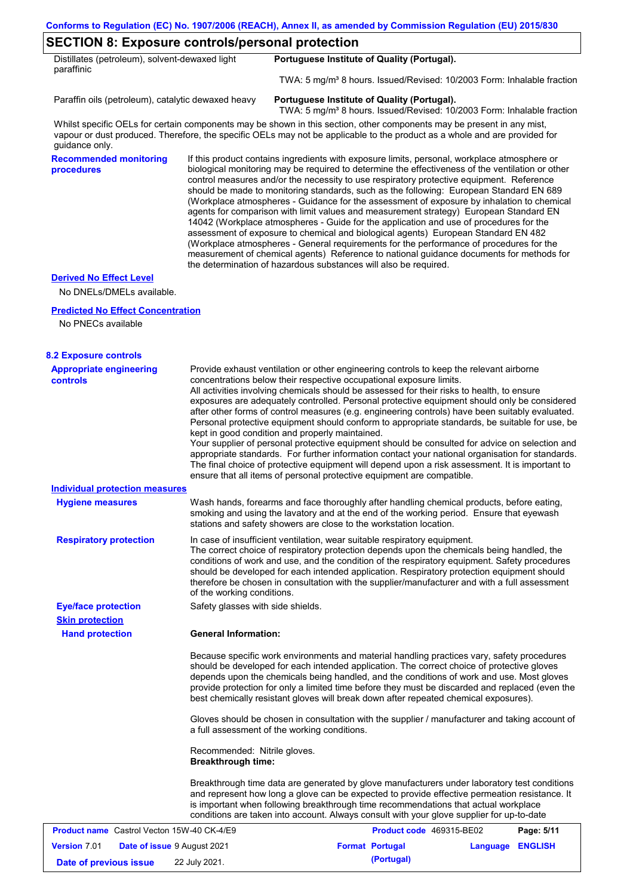## **SECTION 8: Exposure controls/personal protection**

| Distillates (petroleum), solvent-dewaxed light | Portuguese Institute of Quality (Portugal).                                                 |
|------------------------------------------------|---------------------------------------------------------------------------------------------|
| paraffinic                                     |                                                                                             |
|                                                | $TOMA \cdot 5$ ma/m <sup>3</sup> 8 hours leguad/Povised: $10/2003$ Form: Inhalable fraction |

TWA: 5 mg/m³ 8 hours. Issued/Revised: 10/2003 Form: Inhalable fraction

Paraffin oils (petroleum), catalytic dewaxed heavy **Portuguese Institute of Quality (Portugal).** 

TWA: 5 mg/m<sup>3</sup> 8 hours. Issued/Revised: 10/2003 Form: Inhalable fraction

Whilst specific OELs for certain components may be shown in this section, other components may be present in any mist, vapour or dust produced. Therefore, the specific OELs may not be applicable to the product as a whole and are provided for guidance only.

**Recommended monitoring procedures**

If this product contains ingredients with exposure limits, personal, workplace atmosphere or biological monitoring may be required to determine the effectiveness of the ventilation or other control measures and/or the necessity to use respiratory protective equipment. Reference should be made to monitoring standards, such as the following: European Standard EN 689 (Workplace atmospheres - Guidance for the assessment of exposure by inhalation to chemical agents for comparison with limit values and measurement strategy) European Standard EN 14042 (Workplace atmospheres - Guide for the application and use of procedures for the assessment of exposure to chemical and biological agents) European Standard EN 482 (Workplace atmospheres - General requirements for the performance of procedures for the measurement of chemical agents) Reference to national guidance documents for methods for the determination of hazardous substances will also be required.

#### **Derived No Effect Level**

No DNELs/DMELs available.

#### **Predicted No Effect Concentration**

No PNECs available

| <b>8.2 Exposure controls</b>                              |                                                                                                                                                                                                                                                                                                                                                                                                                                                                                                                                                                                                                                                                                                                                                                                                                                                                                                                                                                                                         |                          |                  |            |
|-----------------------------------------------------------|---------------------------------------------------------------------------------------------------------------------------------------------------------------------------------------------------------------------------------------------------------------------------------------------------------------------------------------------------------------------------------------------------------------------------------------------------------------------------------------------------------------------------------------------------------------------------------------------------------------------------------------------------------------------------------------------------------------------------------------------------------------------------------------------------------------------------------------------------------------------------------------------------------------------------------------------------------------------------------------------------------|--------------------------|------------------|------------|
| <b>Appropriate engineering</b><br><b>controls</b>         | Provide exhaust ventilation or other engineering controls to keep the relevant airborne<br>concentrations below their respective occupational exposure limits.<br>All activities involving chemicals should be assessed for their risks to health, to ensure<br>exposures are adequately controlled. Personal protective equipment should only be considered<br>after other forms of control measures (e.g. engineering controls) have been suitably evaluated.<br>Personal protective equipment should conform to appropriate standards, be suitable for use, be<br>kept in good condition and properly maintained.<br>Your supplier of personal protective equipment should be consulted for advice on selection and<br>appropriate standards. For further information contact your national organisation for standards.<br>The final choice of protective equipment will depend upon a risk assessment. It is important to<br>ensure that all items of personal protective equipment are compatible. |                          |                  |            |
| <b>Individual protection measures</b>                     |                                                                                                                                                                                                                                                                                                                                                                                                                                                                                                                                                                                                                                                                                                                                                                                                                                                                                                                                                                                                         |                          |                  |            |
| <b>Hygiene measures</b>                                   | Wash hands, forearms and face thoroughly after handling chemical products, before eating,<br>smoking and using the lavatory and at the end of the working period. Ensure that eyewash<br>stations and safety showers are close to the workstation location.                                                                                                                                                                                                                                                                                                                                                                                                                                                                                                                                                                                                                                                                                                                                             |                          |                  |            |
| <b>Respiratory protection</b>                             | In case of insufficient ventilation, wear suitable respiratory equipment.<br>The correct choice of respiratory protection depends upon the chemicals being handled, the<br>conditions of work and use, and the condition of the respiratory equipment. Safety procedures<br>should be developed for each intended application. Respiratory protection equipment should<br>therefore be chosen in consultation with the supplier/manufacturer and with a full assessment<br>of the working conditions.                                                                                                                                                                                                                                                                                                                                                                                                                                                                                                   |                          |                  |            |
| <b>Eye/face protection</b>                                | Safety glasses with side shields.                                                                                                                                                                                                                                                                                                                                                                                                                                                                                                                                                                                                                                                                                                                                                                                                                                                                                                                                                                       |                          |                  |            |
| <b>Skin protection</b>                                    |                                                                                                                                                                                                                                                                                                                                                                                                                                                                                                                                                                                                                                                                                                                                                                                                                                                                                                                                                                                                         |                          |                  |            |
| <b>Hand protection</b>                                    | <b>General Information:</b>                                                                                                                                                                                                                                                                                                                                                                                                                                                                                                                                                                                                                                                                                                                                                                                                                                                                                                                                                                             |                          |                  |            |
|                                                           | Because specific work environments and material handling practices vary, safety procedures<br>should be developed for each intended application. The correct choice of protective gloves<br>depends upon the chemicals being handled, and the conditions of work and use. Most gloves<br>provide protection for only a limited time before they must be discarded and replaced (even the<br>best chemically resistant gloves will break down after repeated chemical exposures).                                                                                                                                                                                                                                                                                                                                                                                                                                                                                                                        |                          |                  |            |
|                                                           | Gloves should be chosen in consultation with the supplier / manufacturer and taking account of<br>a full assessment of the working conditions.                                                                                                                                                                                                                                                                                                                                                                                                                                                                                                                                                                                                                                                                                                                                                                                                                                                          |                          |                  |            |
|                                                           | Recommended: Nitrile gloves.<br><b>Breakthrough time:</b>                                                                                                                                                                                                                                                                                                                                                                                                                                                                                                                                                                                                                                                                                                                                                                                                                                                                                                                                               |                          |                  |            |
|                                                           | Breakthrough time data are generated by glove manufacturers under laboratory test conditions<br>and represent how long a glove can be expected to provide effective permeation resistance. It<br>is important when following breakthrough time recommendations that actual workplace<br>conditions are taken into account. Always consult with your glove supplier for up-to-date                                                                                                                                                                                                                                                                                                                                                                                                                                                                                                                                                                                                                       |                          |                  |            |
| <b>Product name</b> Castrol Vecton 15W-40 CK-4/E9         |                                                                                                                                                                                                                                                                                                                                                                                                                                                                                                                                                                                                                                                                                                                                                                                                                                                                                                                                                                                                         | Product code 469315-BE02 |                  | Page: 5/11 |
| <b>Version 7.01</b><br><b>Date of issue 9 August 2021</b> |                                                                                                                                                                                                                                                                                                                                                                                                                                                                                                                                                                                                                                                                                                                                                                                                                                                                                                                                                                                                         | <b>Format Portugal</b>   | Language ENGLISH |            |
| Date of previous issue                                    | 22 July 2021.                                                                                                                                                                                                                                                                                                                                                                                                                                                                                                                                                                                                                                                                                                                                                                                                                                                                                                                                                                                           | (Portugal)               |                  |            |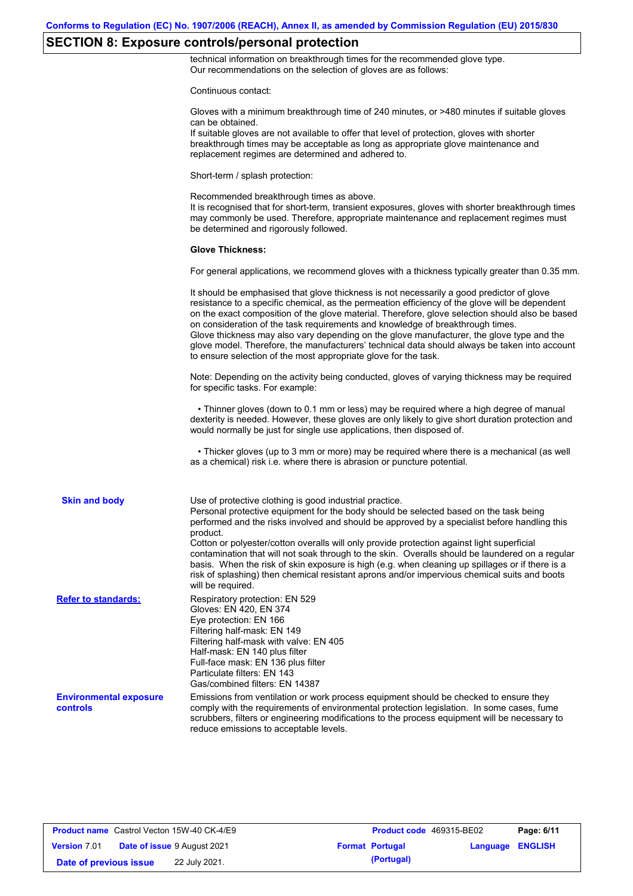# **SECTION 8: Exposure controls/personal protection**

technical information on breakthrough times for the recommended glove type. Our recommendations on the selection of gloves are as follows:

Continuous contact:

|                                           | Gloves with a minimum breakthrough time of 240 minutes, or >480 minutes if suitable gloves<br>can be obtained.<br>If suitable gloves are not available to offer that level of protection, gloves with shorter<br>breakthrough times may be acceptable as long as appropriate glove maintenance and<br>replacement regimes are determined and adhered to.                                                                                                                                                                                                                                                                                                                              |
|-------------------------------------------|---------------------------------------------------------------------------------------------------------------------------------------------------------------------------------------------------------------------------------------------------------------------------------------------------------------------------------------------------------------------------------------------------------------------------------------------------------------------------------------------------------------------------------------------------------------------------------------------------------------------------------------------------------------------------------------|
|                                           | Short-term / splash protection:                                                                                                                                                                                                                                                                                                                                                                                                                                                                                                                                                                                                                                                       |
|                                           | Recommended breakthrough times as above.<br>It is recognised that for short-term, transient exposures, gloves with shorter breakthrough times<br>may commonly be used. Therefore, appropriate maintenance and replacement regimes must<br>be determined and rigorously followed.                                                                                                                                                                                                                                                                                                                                                                                                      |
|                                           | <b>Glove Thickness:</b>                                                                                                                                                                                                                                                                                                                                                                                                                                                                                                                                                                                                                                                               |
|                                           | For general applications, we recommend gloves with a thickness typically greater than 0.35 mm.                                                                                                                                                                                                                                                                                                                                                                                                                                                                                                                                                                                        |
|                                           | It should be emphasised that glove thickness is not necessarily a good predictor of glove<br>resistance to a specific chemical, as the permeation efficiency of the glove will be dependent<br>on the exact composition of the glove material. Therefore, glove selection should also be based<br>on consideration of the task requirements and knowledge of breakthrough times.<br>Glove thickness may also vary depending on the glove manufacturer, the glove type and the<br>glove model. Therefore, the manufacturers' technical data should always be taken into account<br>to ensure selection of the most appropriate glove for the task.                                     |
|                                           | Note: Depending on the activity being conducted, gloves of varying thickness may be required<br>for specific tasks. For example:                                                                                                                                                                                                                                                                                                                                                                                                                                                                                                                                                      |
|                                           | • Thinner gloves (down to 0.1 mm or less) may be required where a high degree of manual<br>dexterity is needed. However, these gloves are only likely to give short duration protection and<br>would normally be just for single use applications, then disposed of.                                                                                                                                                                                                                                                                                                                                                                                                                  |
|                                           | • Thicker gloves (up to 3 mm or more) may be required where there is a mechanical (as well<br>as a chemical) risk i.e. where there is abrasion or puncture potential.                                                                                                                                                                                                                                                                                                                                                                                                                                                                                                                 |
| <b>Skin and body</b>                      | Use of protective clothing is good industrial practice.<br>Personal protective equipment for the body should be selected based on the task being<br>performed and the risks involved and should be approved by a specialist before handling this<br>product.<br>Cotton or polyester/cotton overalls will only provide protection against light superficial<br>contamination that will not soak through to the skin. Overalls should be laundered on a regular<br>basis. When the risk of skin exposure is high (e.g. when cleaning up spillages or if there is a<br>risk of splashing) then chemical resistant aprons and/or impervious chemical suits and boots<br>will be required. |
| <b>Refer to standards:</b>                | Respiratory protection: EN 529<br>Gloves: EN 420, EN 374<br>Eye protection: EN 166<br>Filtering half-mask: EN 149<br>Filtering half-mask with valve: EN 405<br>Half-mask: EN 140 plus filter<br>Full-face mask: EN 136 plus filter<br>Particulate filters: EN 143<br>Gas/combined filters: EN 14387                                                                                                                                                                                                                                                                                                                                                                                   |
| <b>Environmental exposure</b><br>controls | Emissions from ventilation or work process equipment should be checked to ensure they<br>comply with the requirements of environmental protection legislation. In some cases, fume<br>scrubbers, filters or engineering modifications to the process equipment will be necessary to<br>reduce emissions to acceptable levels.                                                                                                                                                                                                                                                                                                                                                         |

| <b>Product name</b> Castrol Vecton 15W-40 CK-4/E9 |                                    | Product code 469315-BE02 |                  | Page: 6/11 |
|---------------------------------------------------|------------------------------------|--------------------------|------------------|------------|
| <b>Version 7.01</b>                               | <b>Date of issue 9 August 2021</b> | <b>Format Portugal</b>   | Language ENGLISH |            |
| Date of previous issue                            | 22 July 2021.                      | (Portugal)               |                  |            |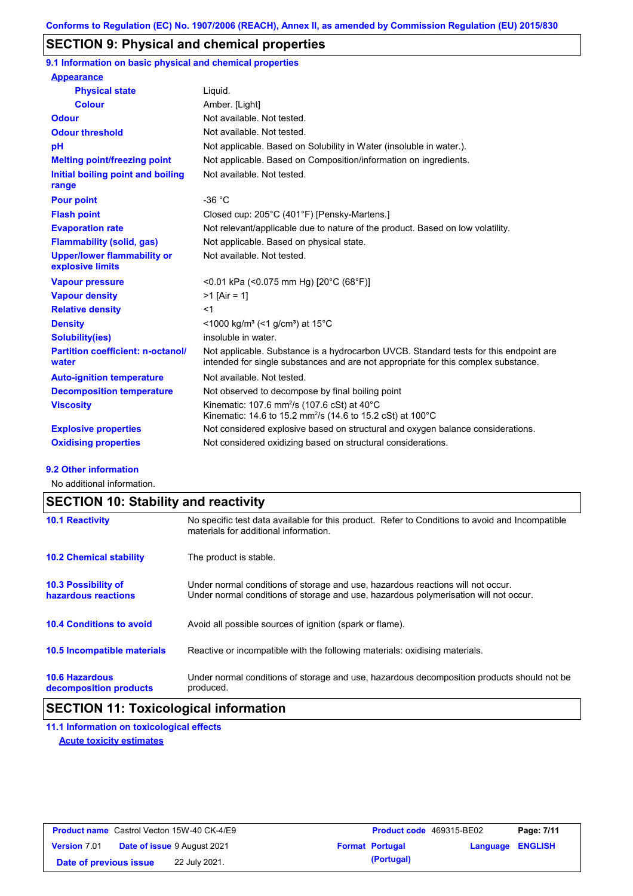## **SECTION 9: Physical and chemical properties**

**9.1 Information on basic physical and chemical properties**

| <b>Appearance</b>                                      |                                                                                                                                                                             |
|--------------------------------------------------------|-----------------------------------------------------------------------------------------------------------------------------------------------------------------------------|
| <b>Physical state</b>                                  | Liquid.                                                                                                                                                                     |
| <b>Colour</b>                                          | Amber. [Light]                                                                                                                                                              |
| <b>Odour</b>                                           | Not available. Not tested.                                                                                                                                                  |
| <b>Odour threshold</b>                                 | Not available. Not tested.                                                                                                                                                  |
| pH                                                     | Not applicable. Based on Solubility in Water (insoluble in water.).                                                                                                         |
| <b>Melting point/freezing point</b>                    | Not applicable. Based on Composition/information on ingredients.                                                                                                            |
| Initial boiling point and boiling<br>range             | Not available. Not tested.                                                                                                                                                  |
| <b>Pour point</b>                                      | $-36 °C$                                                                                                                                                                    |
| <b>Flash point</b>                                     | Closed cup: 205°C (401°F) [Pensky-Martens.]                                                                                                                                 |
| <b>Evaporation rate</b>                                | Not relevant/applicable due to nature of the product. Based on low volatility.                                                                                              |
| <b>Flammability (solid, gas)</b>                       | Not applicable. Based on physical state.                                                                                                                                    |
| <b>Upper/lower flammability or</b><br>explosive limits | Not available. Not tested.                                                                                                                                                  |
| <b>Vapour pressure</b>                                 | <0.01 kPa (<0.075 mm Hg) [20°C (68°F)]                                                                                                                                      |
| <b>Vapour density</b>                                  | $>1$ [Air = 1]                                                                                                                                                              |
| <b>Relative density</b>                                | $<$ 1                                                                                                                                                                       |
| <b>Density</b>                                         | $\leq$ 1000 kg/m <sup>3</sup> ( $\leq$ 1 g/cm <sup>3</sup> ) at 15 <sup>°</sup> C                                                                                           |
| <b>Solubility(ies)</b>                                 | insoluble in water.                                                                                                                                                         |
| <b>Partition coefficient: n-octanol/</b><br>water      | Not applicable. Substance is a hydrocarbon UVCB. Standard tests for this endpoint are<br>intended for single substances and are not appropriate for this complex substance. |
| <b>Auto-ignition temperature</b>                       | Not available. Not tested.                                                                                                                                                  |
| <b>Decomposition temperature</b>                       | Not observed to decompose by final boiling point                                                                                                                            |
| <b>Viscosity</b>                                       | Kinematic: 107.6 mm <sup>2</sup> /s (107.6 cSt) at $40^{\circ}$ C<br>Kinematic: 14.6 to 15.2 mm <sup>2</sup> /s (14.6 to 15.2 cSt) at 100°C                                 |
| <b>Explosive properties</b>                            | Not considered explosive based on structural and oxygen balance considerations.                                                                                             |
| <b>Oxidising properties</b>                            | Not considered oxidizing based on structural considerations.                                                                                                                |

#### **9.2 Other information**

No additional information.

## **SECTION 10: Stability and reactivity**

| <b>10.1 Reactivity</b>                            | No specific test data available for this product. Refer to Conditions to avoid and Incompatible<br>materials for additional information.                                |
|---------------------------------------------------|-------------------------------------------------------------------------------------------------------------------------------------------------------------------------|
| <b>10.2 Chemical stability</b>                    | The product is stable.                                                                                                                                                  |
| <b>10.3 Possibility of</b><br>hazardous reactions | Under normal conditions of storage and use, hazardous reactions will not occur.<br>Under normal conditions of storage and use, hazardous polymerisation will not occur. |
| <b>10.4 Conditions to avoid</b>                   | Avoid all possible sources of ignition (spark or flame).                                                                                                                |
| <b>10.5 Incompatible materials</b>                | Reactive or incompatible with the following materials: oxidising materials.                                                                                             |
| <b>10.6 Hazardous</b><br>decomposition products   | Under normal conditions of storage and use, hazardous decomposition products should not be<br>produced.                                                                 |

## **SECTION 11: Toxicological information**

**11.1 Information on toxicological effects Acute toxicity estimates**

|                        | <b>Product name</b> Castrol Vecton 15W-40 CK-4/E9 | <b>Product code</b> 469315-BE02 |                  | Page: 7/11 |
|------------------------|---------------------------------------------------|---------------------------------|------------------|------------|
| <b>Version 7.01</b>    | <b>Date of issue 9 August 2021</b>                | <b>Format Portugal</b>          | Language ENGLISH |            |
| Date of previous issue | 22 July 2021.                                     | (Portugal)                      |                  |            |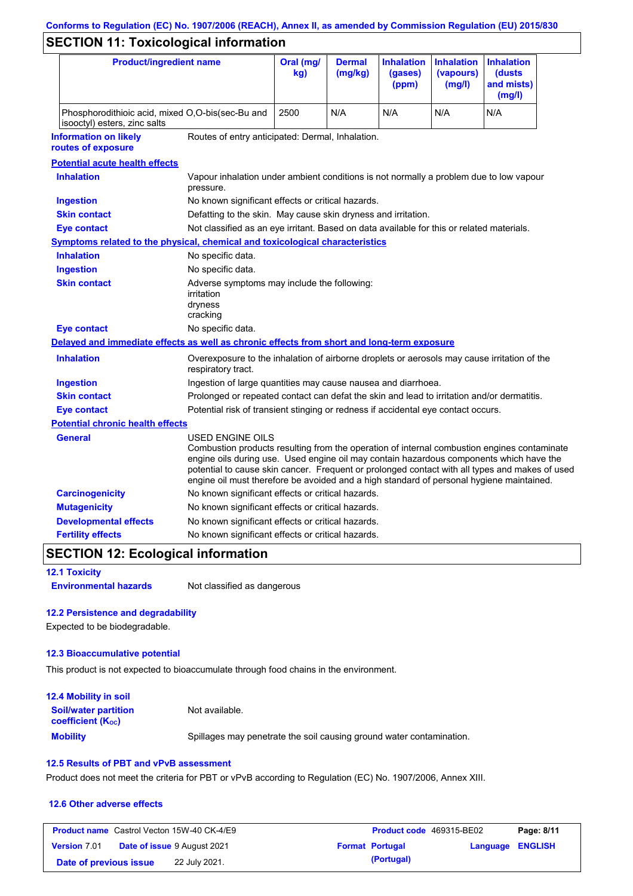# **Conforms to Regulation (EC) No. 1907/2006 (REACH), Annex II, as amended by Commission Regulation (EU) 2015/830**

# **SECTION 11: Toxicological information**

| <b>Product/ingredient name</b>                                                             |                                                                                                                                                                                                         | Oral (mg/<br>kg)                                                                           | <b>Dermal</b><br>(mg/kg) | <b>Inhalation</b><br>(gases)<br>(ppm) | <b>Inhalation</b><br>(vapours)<br>(mg/l) | <b>Inhalation</b><br>(dusts)<br>and mists)<br>(mg/l)                                                                                                                                          |
|--------------------------------------------------------------------------------------------|---------------------------------------------------------------------------------------------------------------------------------------------------------------------------------------------------------|--------------------------------------------------------------------------------------------|--------------------------|---------------------------------------|------------------------------------------|-----------------------------------------------------------------------------------------------------------------------------------------------------------------------------------------------|
| Phosphorodithioic acid, mixed O,O-bis(sec-Bu and<br>isooctyl) esters, zinc salts           |                                                                                                                                                                                                         | 2500                                                                                       | N/A                      | N/A                                   | N/A                                      | N/A                                                                                                                                                                                           |
| <b>Information on likely</b><br>routes of exposure                                         | Routes of entry anticipated: Dermal, Inhalation.                                                                                                                                                        |                                                                                            |                          |                                       |                                          |                                                                                                                                                                                               |
| <b>Potential acute health effects</b>                                                      |                                                                                                                                                                                                         |                                                                                            |                          |                                       |                                          |                                                                                                                                                                                               |
| <b>Inhalation</b>                                                                          | Vapour inhalation under ambient conditions is not normally a problem due to low vapour<br>pressure.                                                                                                     |                                                                                            |                          |                                       |                                          |                                                                                                                                                                                               |
| <b>Ingestion</b>                                                                           | No known significant effects or critical hazards.                                                                                                                                                       |                                                                                            |                          |                                       |                                          |                                                                                                                                                                                               |
| <b>Skin contact</b>                                                                        | Defatting to the skin. May cause skin dryness and irritation.                                                                                                                                           |                                                                                            |                          |                                       |                                          |                                                                                                                                                                                               |
| <b>Eye contact</b>                                                                         | Not classified as an eye irritant. Based on data available for this or related materials.                                                                                                               |                                                                                            |                          |                                       |                                          |                                                                                                                                                                                               |
| Symptoms related to the physical, chemical and toxicological characteristics               |                                                                                                                                                                                                         |                                                                                            |                          |                                       |                                          |                                                                                                                                                                                               |
| <b>Inhalation</b>                                                                          | No specific data.                                                                                                                                                                                       |                                                                                            |                          |                                       |                                          |                                                                                                                                                                                               |
| <b>Ingestion</b>                                                                           | No specific data.                                                                                                                                                                                       |                                                                                            |                          |                                       |                                          |                                                                                                                                                                                               |
| <b>Skin contact</b>                                                                        | Adverse symptoms may include the following:<br>irritation<br>dryness<br>cracking                                                                                                                        |                                                                                            |                          |                                       |                                          |                                                                                                                                                                                               |
| <b>Eye contact</b>                                                                         | No specific data.                                                                                                                                                                                       |                                                                                            |                          |                                       |                                          |                                                                                                                                                                                               |
| Delayed and immediate effects as well as chronic effects from short and long-term exposure |                                                                                                                                                                                                         |                                                                                            |                          |                                       |                                          |                                                                                                                                                                                               |
| <b>Inhalation</b>                                                                          | Overexposure to the inhalation of airborne droplets or aerosols may cause irritation of the<br>respiratory tract.                                                                                       |                                                                                            |                          |                                       |                                          |                                                                                                                                                                                               |
| <b>Ingestion</b>                                                                           |                                                                                                                                                                                                         | Ingestion of large quantities may cause nausea and diarrhoea.                              |                          |                                       |                                          |                                                                                                                                                                                               |
| <b>Skin contact</b>                                                                        |                                                                                                                                                                                                         | Prolonged or repeated contact can defat the skin and lead to irritation and/or dermatitis. |                          |                                       |                                          |                                                                                                                                                                                               |
| <b>Eye contact</b>                                                                         |                                                                                                                                                                                                         | Potential risk of transient stinging or redness if accidental eye contact occurs.          |                          |                                       |                                          |                                                                                                                                                                                               |
| <b>Potential chronic health effects</b>                                                    |                                                                                                                                                                                                         |                                                                                            |                          |                                       |                                          |                                                                                                                                                                                               |
| General                                                                                    | USED ENGINE OILS<br>engine oils during use. Used engine oil may contain hazardous components which have the<br>engine oil must therefore be avoided and a high standard of personal hygiene maintained. |                                                                                            |                          |                                       |                                          | Combustion products resulting from the operation of internal combustion engines contaminate<br>potential to cause skin cancer. Frequent or prolonged contact with all types and makes of used |
| <b>Carcinogenicity</b>                                                                     | No known significant effects or critical hazards.                                                                                                                                                       |                                                                                            |                          |                                       |                                          |                                                                                                                                                                                               |
| <b>Mutagenicity</b>                                                                        | No known significant effects or critical hazards.                                                                                                                                                       |                                                                                            |                          |                                       |                                          |                                                                                                                                                                                               |
| <b>Developmental effects</b>                                                               | No known significant effects or critical hazards.                                                                                                                                                       |                                                                                            |                          |                                       |                                          |                                                                                                                                                                                               |
| <b>Fertility effects</b>                                                                   | No known significant effects or critical hazards.                                                                                                                                                       |                                                                                            |                          |                                       |                                          |                                                                                                                                                                                               |

## **SECTION 12: Ecological information**

**12.1 Toxicity**

**Environmental hazards** Not classified as dangerous

### **12.2 Persistence and degradability**

Expected to be biodegradable.

#### **12.3 Bioaccumulative potential**

This product is not expected to bioaccumulate through food chains in the environment.

| <b>12.4 Mobility in soil</b>                                         |                                                                      |
|----------------------------------------------------------------------|----------------------------------------------------------------------|
| <b>Soil/water partition</b><br><b>coefficient</b> (K <sub>oc</sub> ) | Not available.                                                       |
| <b>Mobility</b>                                                      | Spillages may penetrate the soil causing ground water contamination. |

### **12.5 Results of PBT and vPvB assessment**

Product does not meet the criteria for PBT or vPvB according to Regulation (EC) No. 1907/2006, Annex XIII.

#### **12.6 Other adverse effects**

|                        | <b>Product name</b> Castrol Vecton 15W-40 CK-4/E9 | <b>Product code</b> 469315-BE02 |                         | Page: 8/11 |
|------------------------|---------------------------------------------------|---------------------------------|-------------------------|------------|
| <b>Version 7.01</b>    | <b>Date of issue 9 August 2021</b>                | <b>Format Portugal</b>          | <b>Language ENGLISH</b> |            |
| Date of previous issue | 22 July 2021.                                     | (Portugal)                      |                         |            |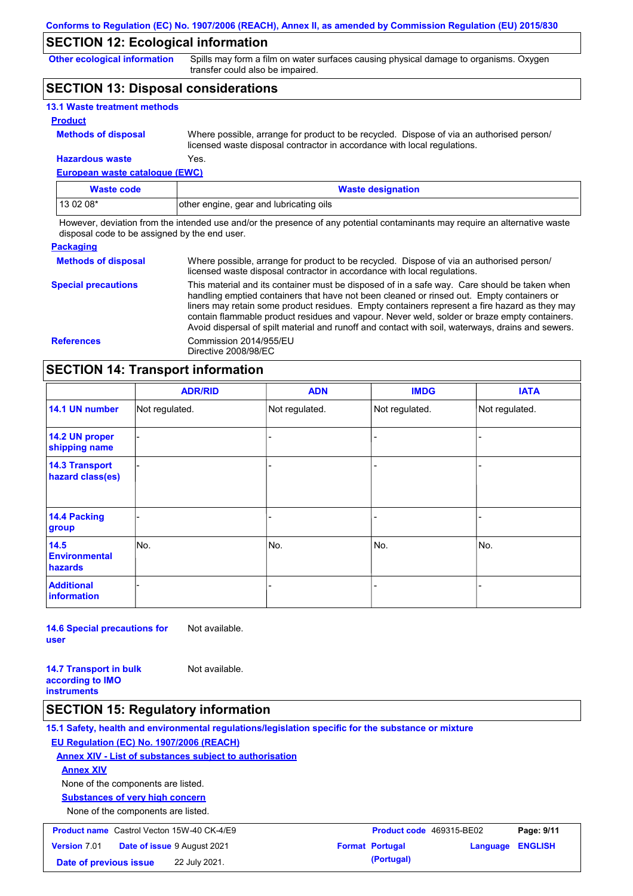## **SECTION 12: Ecological information**

**Other ecological information**

Spills may form a film on water surfaces causing physical damage to organisms. Oxygen transfer could also be impaired.

## **SECTION 13: Disposal considerations**

| <b>13.1 Waste treatment methods</b> |                                                                                                                                                                      |
|-------------------------------------|----------------------------------------------------------------------------------------------------------------------------------------------------------------------|
| <b>Product</b>                      |                                                                                                                                                                      |
| <b>Methods of disposal</b>          | Where possible, arrange for product to be recycled. Dispose of via an authorised person/<br>licensed waste disposal contractor in accordance with local regulations. |
| <b>Hazardous waste</b>              | Yes.                                                                                                                                                                 |

**European waste catalogue (EWC)**

| Waste code | <b>Waste designation</b>                |
|------------|-----------------------------------------|
| $130208*$  | other engine, gear and lubricating oils |

However, deviation from the intended use and/or the presence of any potential contaminants may require an alternative waste disposal code to be assigned by the end user.

| <b>Packaging</b>           |                                                                                                                                                                                                                                                                                                                                                                                                                                                                                                 |
|----------------------------|-------------------------------------------------------------------------------------------------------------------------------------------------------------------------------------------------------------------------------------------------------------------------------------------------------------------------------------------------------------------------------------------------------------------------------------------------------------------------------------------------|
| <b>Methods of disposal</b> | Where possible, arrange for product to be recycled. Dispose of via an authorised person/<br>licensed waste disposal contractor in accordance with local regulations.                                                                                                                                                                                                                                                                                                                            |
| <b>Special precautions</b> | This material and its container must be disposed of in a safe way. Care should be taken when<br>handling emptied containers that have not been cleaned or rinsed out. Empty containers or<br>liners may retain some product residues. Empty containers represent a fire hazard as they may<br>contain flammable product residues and vapour. Never weld, solder or braze empty containers.<br>Avoid dispersal of spilt material and runoff and contact with soil, waterways, drains and sewers. |
| <b>References</b>          | Commission 2014/955/EU<br>Directive 2008/98/EC                                                                                                                                                                                                                                                                                                                                                                                                                                                  |

## **SECTION 14: Transport information**

|                                           | <b>ADR/RID</b> | <b>ADN</b>     | <b>IMDG</b>    | <b>IATA</b>    |  |
|-------------------------------------------|----------------|----------------|----------------|----------------|--|
| 14.1 UN number                            | Not regulated. | Not regulated. | Not regulated. | Not regulated. |  |
| 14.2 UN proper<br>shipping name           |                |                | ۰              |                |  |
| <b>14.3 Transport</b><br>hazard class(es) |                |                |                |                |  |
| <b>14.4 Packing</b><br>group              |                |                |                |                |  |
| 14.5<br><b>Environmental</b><br>hazards   | No.            | No.            | No.            | No.            |  |
| <b>Additional</b><br><b>information</b>   |                |                |                |                |  |

**14.6 Special precautions for user** Not available.

**14.7 Transport in bulk according to IMO instruments** Not available.

### **SECTION 15: Regulatory information**

**15.1 Safety, health and environmental regulations/legislation specific for the substance or mixture EU Regulation (EC) No. 1907/2006 (REACH) Annex XIV - List of substances subject to authorisation Substances of very high concern** None of the components are listed. None of the components are listed. **Annex XIV Product name** Castrol Vecton 15W-40 CK-4/E9 **Product Code 469315-BE02 Page: 9/11 Version** 7.01 **Date of issue** 9 August 2021 **Format Portugal Language ENGLISH Date of previous issue (Portugal)** 22 July 2021.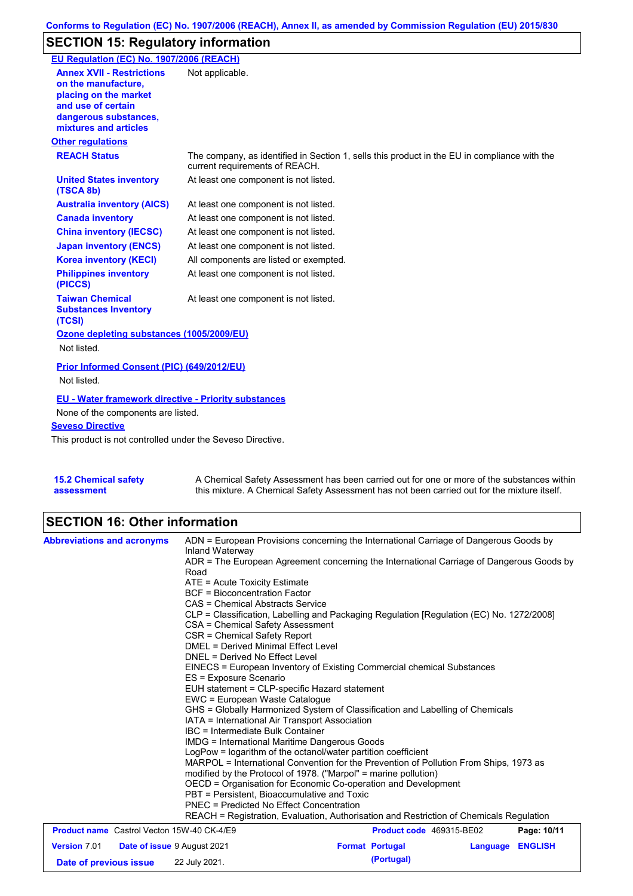## **SECTION 15: Regulatory information**

| EU Regulation (EC) No. 1907/2006 (REACH)                                                                                                                 |                                                                                                                                |
|----------------------------------------------------------------------------------------------------------------------------------------------------------|--------------------------------------------------------------------------------------------------------------------------------|
| <b>Annex XVII - Restrictions</b><br>on the manufacture,<br>placing on the market<br>and use of certain<br>dangerous substances,<br>mixtures and articles | Not applicable.                                                                                                                |
| <b>Other regulations</b>                                                                                                                                 |                                                                                                                                |
| <b>REACH Status</b>                                                                                                                                      | The company, as identified in Section 1, sells this product in the EU in compliance with the<br>current requirements of REACH. |
| <b>United States inventory</b><br>(TSCA 8b)                                                                                                              | At least one component is not listed.                                                                                          |
| <b>Australia inventory (AICS)</b>                                                                                                                        | At least one component is not listed.                                                                                          |
| <b>Canada inventory</b>                                                                                                                                  | At least one component is not listed.                                                                                          |
| <b>China inventory (IECSC)</b>                                                                                                                           | At least one component is not listed.                                                                                          |
| <b>Japan inventory (ENCS)</b>                                                                                                                            | At least one component is not listed.                                                                                          |
| <b>Korea inventory (KECI)</b>                                                                                                                            | All components are listed or exempted.                                                                                         |
| <b>Philippines inventory</b><br>(PICCS)                                                                                                                  | At least one component is not listed.                                                                                          |
| <b>Taiwan Chemical</b><br><b>Substances Inventory</b><br>(TCSI)                                                                                          | At least one component is not listed.                                                                                          |
| Ozone depleting substances (1005/2009/EU)                                                                                                                |                                                                                                                                |
| Not listed.                                                                                                                                              |                                                                                                                                |
| <b>Prior Informed Consent (PIC) (649/2012/EU)</b><br>Not listed.                                                                                         |                                                                                                                                |
| <b>EU - Water framework directive - Priority substances</b>                                                                                              |                                                                                                                                |
| None of the components are listed.                                                                                                                       |                                                                                                                                |
| <b>Seveso Directive</b>                                                                                                                                  |                                                                                                                                |
| This product is not controlled under the Seveso Directive.                                                                                               |                                                                                                                                |
|                                                                                                                                                          |                                                                                                                                |

**15.2 Chemical safety assessment** A Chemical Safety Assessment has been carried out for one or more of the substances within this mixture. A Chemical Safety Assessment has not been carried out for the mixture itself.

# **SECTION 16: Other information**

| <b>Abbreviations and acronyms</b>                 | ADN = European Provisions concerning the International Carriage of Dangerous Goods by<br>Inland Waterway<br>ADR = The European Agreement concerning the International Carriage of Dangerous Goods by<br>Road<br>ATE = Acute Toxicity Estimate<br><b>BCF</b> = Bioconcentration Factor<br>CAS = Chemical Abstracts Service<br>CLP = Classification, Labelling and Packaging Regulation [Regulation (EC) No. 1272/2008]<br>CSA = Chemical Safety Assessment<br>CSR = Chemical Safety Report<br>DMEL = Derived Minimal Effect Level<br>DNEL = Derived No Effect Level<br>EINECS = European Inventory of Existing Commercial chemical Substances<br>ES = Exposure Scenario<br>EUH statement = CLP-specific Hazard statement<br>EWC = European Waste Catalogue<br>GHS = Globally Harmonized System of Classification and Labelling of Chemicals<br>IATA = International Air Transport Association<br>IBC = Intermediate Bulk Container<br><b>IMDG = International Maritime Dangerous Goods</b><br>LogPow = logarithm of the octanol/water partition coefficient<br>MARPOL = International Convention for the Prevention of Pollution From Ships, 1973 as<br>modified by the Protocol of 1978. ("Marpol" = marine pollution)<br>OECD = Organisation for Economic Co-operation and Development<br>PBT = Persistent, Bioaccumulative and Toxic<br><b>PNEC = Predicted No Effect Concentration</b><br>REACH = Registration, Evaluation, Authorisation and Restriction of Chemicals Regulation |                          |          |                |  |
|---------------------------------------------------|--------------------------------------------------------------------------------------------------------------------------------------------------------------------------------------------------------------------------------------------------------------------------------------------------------------------------------------------------------------------------------------------------------------------------------------------------------------------------------------------------------------------------------------------------------------------------------------------------------------------------------------------------------------------------------------------------------------------------------------------------------------------------------------------------------------------------------------------------------------------------------------------------------------------------------------------------------------------------------------------------------------------------------------------------------------------------------------------------------------------------------------------------------------------------------------------------------------------------------------------------------------------------------------------------------------------------------------------------------------------------------------------------------------------------------------------------------------------------------------|--------------------------|----------|----------------|--|
|                                                   |                                                                                                                                                                                                                                                                                                                                                                                                                                                                                                                                                                                                                                                                                                                                                                                                                                                                                                                                                                                                                                                                                                                                                                                                                                                                                                                                                                                                                                                                                      |                          |          |                |  |
|                                                   |                                                                                                                                                                                                                                                                                                                                                                                                                                                                                                                                                                                                                                                                                                                                                                                                                                                                                                                                                                                                                                                                                                                                                                                                                                                                                                                                                                                                                                                                                      |                          |          |                |  |
| <b>Product name</b> Castrol Vecton 15W-40 CK-4/E9 |                                                                                                                                                                                                                                                                                                                                                                                                                                                                                                                                                                                                                                                                                                                                                                                                                                                                                                                                                                                                                                                                                                                                                                                                                                                                                                                                                                                                                                                                                      | Product code 469315-BE02 |          | Page: 10/11    |  |
| <b>Version 7.01</b>                               | <b>Date of issue 9 August 2021</b>                                                                                                                                                                                                                                                                                                                                                                                                                                                                                                                                                                                                                                                                                                                                                                                                                                                                                                                                                                                                                                                                                                                                                                                                                                                                                                                                                                                                                                                   | <b>Format Portugal</b>   | Language | <b>ENGLISH</b> |  |
| Date of previous issue                            | 22 July 2021.                                                                                                                                                                                                                                                                                                                                                                                                                                                                                                                                                                                                                                                                                                                                                                                                                                                                                                                                                                                                                                                                                                                                                                                                                                                                                                                                                                                                                                                                        | (Portugal)               |          |                |  |